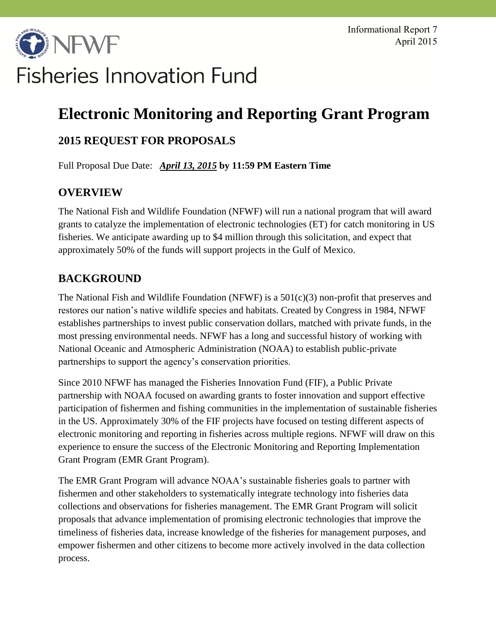# **DINFWF Fisheries Innovation Fund**

## **Electronic Monitoring and Reporting Grant Program**

## **2015 REQUEST FOR PROPOSALS**

Full Proposal Due Date:*April 13, 2015* **by 11:59 PM Eastern Time**

## **OVERVIEW**

The National Fish and Wildlife Foundation (NFWF) will run a national program that will award grants to catalyze the implementation of electronic technologies (ET) for catch monitoring in US fisheries. We anticipate awarding up to \$4 million through this solicitation, and expect that approximately 50% of the funds will support projects in the Gulf of Mexico.

## **BACKGROUND**

The National Fish and Wildlife Foundation (NFWF) is a 501(c)(3) non-profit that preserves and restores our nation's native wildlife species and habitats. Created by Congress in 1984, NFWF establishes partnerships to invest public conservation dollars, matched with private funds, in the most pressing environmental needs. NFWF has a long and successful history of working with National Oceanic and Atmospheric Administration (NOAA) to establish public-private partnerships to support the agency's conservation priorities.

Since 2010 NFWF has managed the Fisheries Innovation Fund (FIF), a Public Private partnership with NOAA focused on awarding grants to foster innovation and support effective participation of fishermen and fishing communities in the implementation of sustainable fisheries in the US. Approximately 30% of the FIF projects have focused on testing different aspects of electronic monitoring and reporting in fisheries across multiple regions. NFWF will draw on this experience to ensure the success of the Electronic Monitoring and Reporting Implementation Grant Program (EMR Grant Program).

The EMR Grant Program will advance NOAA's sustainable fisheries goals to partner with fishermen and other stakeholders to systematically integrate technology into fisheries data collections and observations for fisheries management. The EMR Grant Program will solicit proposals that advance implementation of promising electronic technologies that improve the timeliness of fisheries data, increase knowledge of the fisheries for management purposes, and empower fishermen and other citizens to become more actively involved in the data collection process.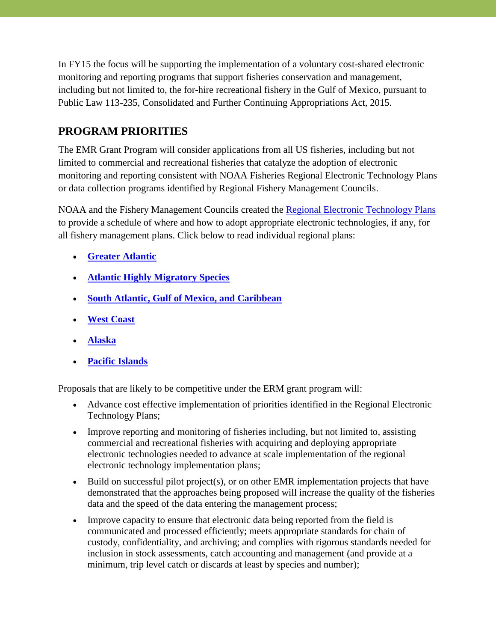In FY15 the focus will be supporting the implementation of a voluntary cost-shared electronic monitoring and reporting programs that support fisheries conservation and management, including but not limited to, the for-hire recreational fishery in the Gulf of Mexico, pursuant to Public Law 113-235, Consolidated and Further Continuing Appropriations Act, 2015.

## **PROGRAM PRIORITIES**

The EMR Grant Program will consider applications from all US fisheries, including but not limited to commercial and recreational fisheries that catalyze the adoption of electronic monitoring and reporting consistent with NOAA Fisheries Regional Electronic Technology Plans or data collection programs identified by Regional Fishery Management Councils.

NOAA and the Fishery Management Councils created the [Regional Electronic Technology Plans](http://www.fisheries.noaa.gov/op/outreach/EM%20and%20R%20roll%20out%20Feb%202015.html) to provide a schedule of where and how to adopt appropriate electronic technologies, if any, for all fishery management plans. Click below to read individual regional plans:

- **[Greater Atlantic](http://www.greateratlantic.fisheries.noaa.gov/mediacenter/2015/february/garfonefscregionaletplan013015.pdf)**
- **[Atlantic Highly Migratory Species](http://www.nmfs.noaa.gov/sfa/hms/compliance/hms_electronic_technologies_plan_013115.pdf)**
- **[South Atlantic, Gulf of Mexico, and Caribbean](http://sero.nmfs.noaa.gov/sustainable_fisheries/documents/pdfs/em_er_implementation_plan_southeast.pdf)**
- **[West Coast](http://www.westcoast.fisheries.noaa.gov/publications/fishery_management/electronic_monitoring/etplan.pdf)**
- **[Alaska](http://www.alaskafisheries.noaa.gov/sustainablefisheries/em/akremerimplementationplan.pdf)**
- **[Pacific Islands](http://www.fpir.noaa.gov/SFD/pdfs/2015_PIR_Electronic_Reporting_Monitoring_Plan.pdf)**

Proposals that are likely to be competitive under the ERM grant program will:

- Advance cost effective implementation of priorities identified in the Regional Electronic Technology Plans;
- Improve reporting and monitoring of fisheries including, but not limited to, assisting commercial and recreational fisheries with acquiring and deploying appropriate electronic technologies needed to advance at scale implementation of the regional electronic technology implementation plans;
- Build on successful pilot project(s), or on other EMR implementation projects that have demonstrated that the approaches being proposed will increase the quality of the fisheries data and the speed of the data entering the management process;
- Improve capacity to ensure that electronic data being reported from the field is communicated and processed efficiently; meets appropriate standards for chain of custody, confidentiality, and archiving; and complies with rigorous standards needed for inclusion in stock assessments, catch accounting and management (and provide at a minimum, trip level catch or discards at least by species and number);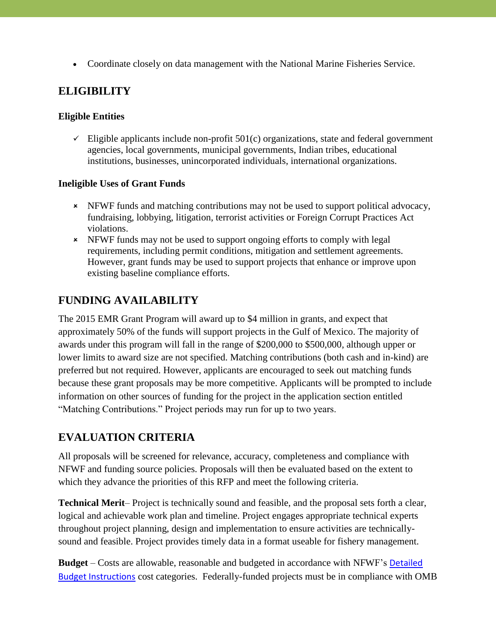Coordinate closely on data management with the National Marine Fisheries Service.

## **ELIGIBILITY**

#### **Eligible Entities**

 $\checkmark$  Eligible applicants include non-profit 501(c) organizations, state and federal government agencies, local governments, municipal governments, Indian tribes, educational institutions, businesses, unincorporated individuals, international organizations.

#### **Ineligible Uses of Grant Funds**

- NFWF funds and matching contributions may not be used to support political advocacy, fundraising, lobbying, litigation, terrorist activities or Foreign Corrupt Practices Act violations.
- NFWF funds may not be used to support ongoing efforts to comply with legal requirements, including permit conditions, mitigation and settlement agreements. However, grant funds may be used to support projects that enhance or improve upon existing baseline compliance efforts.

## **FUNDING AVAILABILITY**

The 2015 EMR Grant Program will award up to \$4 million in grants, and expect that approximately 50% of the funds will support projects in the Gulf of Mexico. The majority of awards under this program will fall in the range of \$200,000 to \$500,000, although upper or lower limits to award size are not specified. Matching contributions (both cash and in-kind) are preferred but not required. However, applicants are encouraged to seek out matching funds because these grant proposals may be more competitive. Applicants will be prompted to include information on other sources of funding for the project in the application section entitled "Matching Contributions." Project periods may run for up to two years.

## **EVALUATION CRITERIA**

All proposals will be screened for relevance, accuracy, completeness and compliance with NFWF and funding source policies. Proposals will then be evaluated based on the extent to which they advance the priorities of this RFP and meet the following criteria.

**Technical Merit**– Project is technically sound and feasible, and the proposal sets forth a clear, logical and achievable work plan and timeline. Project engages appropriate technical experts throughout project planning, design and implementation to ensure activities are technicallysound and feasible. Project provides timely data in a format useable for fishery management.

**Budget** – Costs are allowable, reasonable and budgeted in accordance with NFWF's [Detailed](http://www.nfwf.org/whatwedo/grants/applicants/Documents/detailed-budget-instructions.pdf)  [Budget Instructions](http://www.nfwf.org/whatwedo/grants/applicants/Documents/detailed-budget-instructions.pdf) cost categories. Federally-funded projects must be in compliance with OMB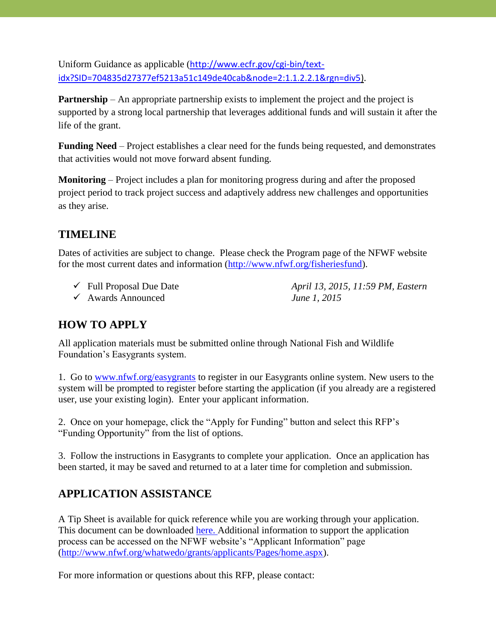Uniform Guidance as applicable ([http://www.ecfr.gov/cgi-bin/text](http://www.ecfr.gov/cgi-bin/text-idx?SID=704835d27377ef5213a51c149de40cab&node=2:1.1.2.2.1&rgn=div5)[idx?SID=704835d27377ef5213a51c149de40cab&node=2:1.1.2.2.1&rgn=div5\)](http://www.ecfr.gov/cgi-bin/text-idx?SID=704835d27377ef5213a51c149de40cab&node=2:1.1.2.2.1&rgn=div5).

**Partnership** – An appropriate partnership exists to implement the project and the project is supported by a strong local partnership that leverages additional funds and will sustain it after the life of the grant.

**Funding Need** – Project establishes a clear need for the funds being requested, and demonstrates that activities would not move forward absent funding.

**Monitoring** – Project includes a plan for monitoring progress during and after the proposed project period to track project success and adaptively address new challenges and opportunities as they arise.

### **TIMELINE**

Dates of activities are subject to change. Please check the Program page of the NFWF website for the most current dates and information [\(http://www.nfwf.org/fisheriesfund\)](http://www.nfwf.org/fisheriesfund).

- 
- Awards Announced *June 1, 2015*

Full Proposal Due Date *April 13, 2015, 11:59 PM, Eastern*

## **HOW TO APPLY**

All application materials must be submitted online through National Fish and Wildlife Foundation's Easygrants system.

1. Go to [www.nfwf.org/easygrants](http://www.nfwf.org/easygrants) to register in our Easygrants online system. New users to the system will be prompted to register before starting the application (if you already are a registered user, use your existing login). Enter your applicant information.

2. Once on your homepage, click the "Apply for Funding" button and select this RFP's "Funding Opportunity" from the list of options.

3. Follow the instructions in Easygrants to complete your application. Once an application has been started, it may be saved and returned to at a later time for completion and submission.

## **APPLICATION ASSISTANCE**

A Tip Sheet is available for quick reference while you are working through your application. This document can be downloaded [here.](http://www.nfwf.org/fisheriesfund/Documents/tipsheet_2015emr_rfp.pdf) Additional information to support the application process can be accessed on the NFWF website's "Applicant Information" page [\(http://www.nfwf.org/whatwedo/grants/applicants/Pages/home.aspx\)](http://www.nfwf.org/whatwedo/grants/applicants/Pages/home.aspx).

For more information or questions about this RFP, please contact: